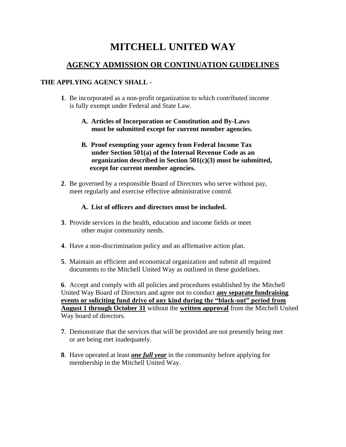# **MITCHELL UNITED WAY**

## **AGENCY ADMISSION OR CONTINUATION GUIDELINES**

### **THE APPLYING AGENCY SHALL -**

- **1**. Be incorporated as a non-profit organization to which contributed income is fully exempt under Federal and State Law.
	- **A. Articles of Incorporation or Constitution and By-Laws must be submitted except for current member agencies.**
	- **B. Proof exempting your agency from Federal Income Tax under Section 501(a) of the Internal Revenue Code as an organization described in Section 501(c)(3) must be submitted, except for current member agencies.**
- **2**. Be governed by a responsible Board of Directors who serve without pay, meet regularly and exercise effective administrative control.

### **A. List of officers and directors must be included.**

- **3**. Provide services in the health, education and income fields or meet other major community needs.
- **4**. Have a non-discrimination policy and an affirmative action plan.
- **5**. Maintain an efficient and economical organization and submit all required documents to the Mitchell United Way as outlined in these guidelines.

**6**. Accept and comply with all policies and procedures established by the Mitchell United Way Board of Directors and agree not to conduct **any separate fundraising events or soliciting fund drive of any kind during the "black-out" period from August 1 through October 31** without the **written approval** from the Mitchell United Way board of directors.

- **7**. Demonstrate that the services that will be provided are not presently being met or are being met inadequately.
- **8**. Have operated at least *one full year* in the community before applying for membership in the Mitchell United Way.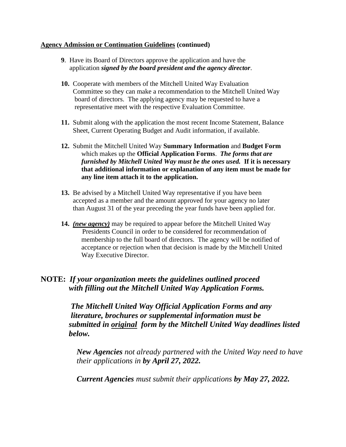#### **Agency Admission or Continuation Guidelines (continued)**

- **9**. Have its Board of Directors approve the application and have the application *signed by the board president and the agency director*.
- **10.** Cooperate with members of the Mitchell United Way Evaluation Committee so they can make a recommendation to the Mitchell United Way board of directors. The applying agency may be requested to have a representative meet with the respective Evaluation Committee.
- **11.** Submit along with the application the most recent Income Statement, Balance Sheet, Current Operating Budget and Audit information, if available.
- **12.** Submit the Mitchell United Way **Summary Information** and **Budget Form** which makes up the **Official Application Forms**. *The forms that are furnished by Mitchell United Way must be the ones used.* **If it is necessary that additional information or explanation of any item must be made for any line item attach it to the application.**
- **13.** Be advised by a Mitchell United Way representative if you have been accepted as a member and the amount approved for your agency no later than August 31 of the year preceding the year funds have been applied for.
- **14.** *(new agency)* may be required to appear before the Mitchell United Way Presidents Council in order to be considered for recommendation of membership to the full board of directors. The agency will be notified of acceptance or rejection when that decision is made by the Mitchell United Way Executive Director.

## **NOTE:** *If your organization meets the guidelines outlined proceed with filling out the Mitchell United Way Application Forms.*

 *The Mitchell United Way Official Application Forms and any literature, brochures or supplemental information must be submitted in original form by the Mitchell United Way deadlines listed below.*

*New Agencies not already partnered with the United Way need to have their applications in by April 27, 2022.*

*Current Agencies must submit their applications by May 27, 2022.*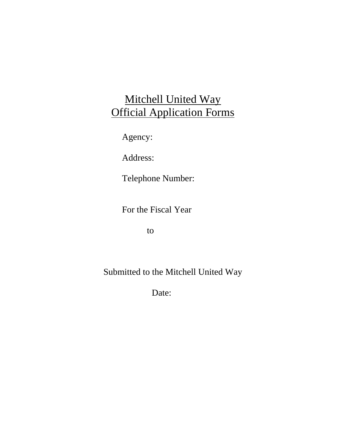# Mitchell United Way Official Application Forms

Agency:

Address:

Telephone Number:

For the Fiscal Year

to

Submitted to the Mitchell United Way

Date: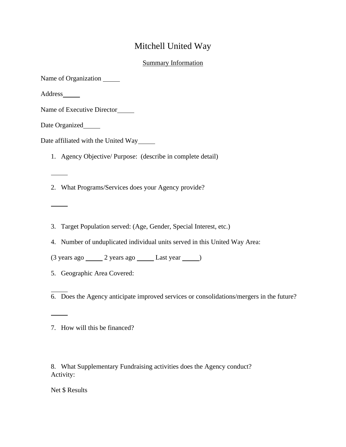# Mitchell United Way

### **Summary Information**

| Name of Organization _______                                                             |
|------------------------------------------------------------------------------------------|
| Address_______                                                                           |
| Name of Executive Director                                                               |
| Date Organized                                                                           |
| Date affiliated with the United Way                                                      |
| 1. Agency Objective/ Purpose: (describe in complete detail)                              |
|                                                                                          |
| 2. What Programs/Services does your Agency provide?                                      |
|                                                                                          |
|                                                                                          |
| 3. Target Population served: (Age, Gender, Special Interest, etc.)                       |
| 4. Number of unduplicated individual units served in this United Way Area:               |
| (3 years ago _______ 2 years ago _______ Last year ______)                               |
| 5. Geographic Area Covered:                                                              |
| 6. Does the Agency anticipate improved services or consolidations/mergers in the future? |
| 7. How will this be financed?                                                            |

8. What Supplementary Fundraising activities does the Agency conduct? Activity:

Net \$ Results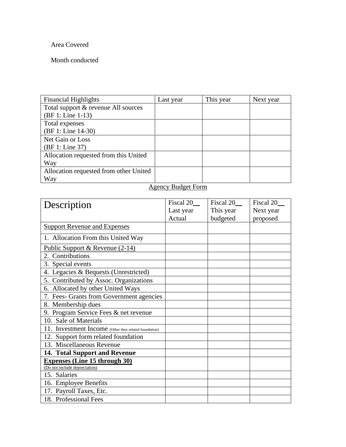### Area Covered

### Month conducted

| <b>Financial Highlights</b>            | Last year | This year | Next year |
|----------------------------------------|-----------|-----------|-----------|
| Total support & revenue All sources    |           |           |           |
| (BF 1: Line 1-13)                      |           |           |           |
| Total expenses                         |           |           |           |
| (BF 1: Line 14-30)                     |           |           |           |
| Net Gain or Loss                       |           |           |           |
| (BF 1: Line 37)                        |           |           |           |
| Allocation requested from this United  |           |           |           |
| Way                                    |           |           |           |
| Allocation requested from other United |           |           |           |
| Way                                    |           |           |           |

# Agency Budget Form

| Description                                           | Fiscal 20 | Fiscal 20 | Fiscal 20 |
|-------------------------------------------------------|-----------|-----------|-----------|
|                                                       | Last year | This year | Next year |
|                                                       | Actual    | budgeted  | proposed  |
| <b>Support Revenue and Expenses</b>                   |           |           |           |
| 1. Allocation From this United Way                    |           |           |           |
| Public Support & Revenue (2-14)                       |           |           |           |
| 2. Contributions                                      |           |           |           |
| 3. Special events                                     |           |           |           |
| 4. Legacies & Bequests (Unrestricted)                 |           |           |           |
| 5. Contributed by Assoc. Organizations                |           |           |           |
| 6. Allocated by other United Ways                     |           |           |           |
| 7. Fees- Grants from Government agencies              |           |           |           |
| 8. Membership dues                                    |           |           |           |
| 9. Program Service Fees & net revenue                 |           |           |           |
| 10. Sale of Materials                                 |           |           |           |
| 11. Investment Income (Other then related foundation) |           |           |           |
| 12. Support form related foundation                   |           |           |           |
| 13. Miscellaneous Revenue                             |           |           |           |
| 14. Total Support and Revenue                         |           |           |           |
| <b>Expenses (Line 15 through 30)</b>                  |           |           |           |
| (Do not include depreciation)                         |           |           |           |
| 15. Salaries                                          |           |           |           |
| 16. Employee Benefits                                 |           |           |           |
| 17. Payroll Taxes, Etc.                               |           |           |           |
| 18. Professional Fees                                 |           |           |           |